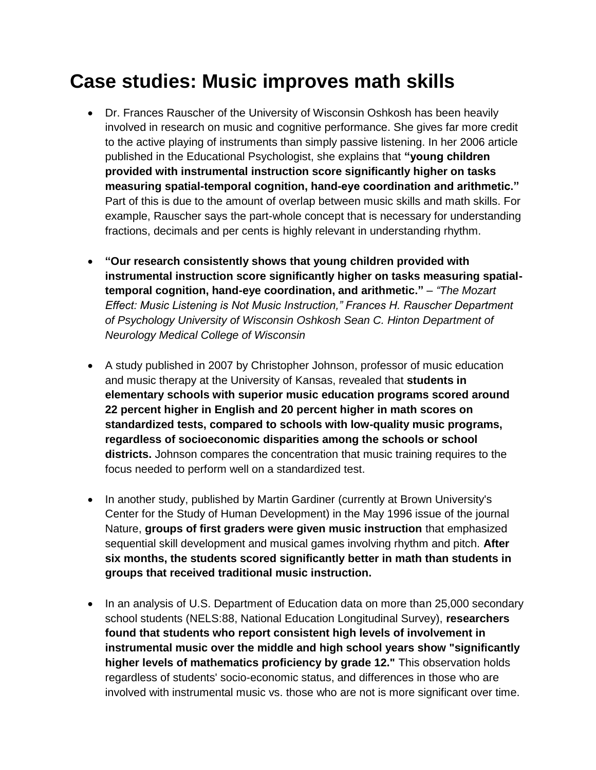# **Case studies: Music improves math skills**

- Dr. Frances Rauscher of the University of Wisconsin Oshkosh has been heavily involved in research on music and cognitive performance. She gives far more credit to the active playing of instruments than simply passive listening. In her 2006 article published in the Educational Psychologist, she explains that **"young children provided with instrumental instruction score significantly higher on tasks measuring spatial-temporal cognition, hand-eye coordination and arithmetic."**  Part of this is due to the amount of overlap between music skills and math skills. For example, Rauscher says the part-whole concept that is necessary for understanding fractions, decimals and per cents is highly relevant in understanding rhythm.
- **"Our research consistently shows that young children provided with instrumental instruction score significantly higher on tasks measuring spatialtemporal cognition, hand-eye coordination, and arithmetic."** *– "The Mozart Effect: Music Listening is Not Music Instruction," Frances H. Rauscher Department of Psychology University of Wisconsin Oshkosh Sean C. Hinton Department of Neurology Medical College of Wisconsin*
- A study published in 2007 by Christopher Johnson, professor of music education and music therapy at the University of Kansas, revealed that **students in elementary schools with superior music education programs scored around 22 percent higher in English and 20 percent higher in math scores on standardized tests, compared to schools with low-quality music programs, regardless of socioeconomic disparities among the schools or school districts.** Johnson compares the concentration that music training requires to the focus needed to perform well on a standardized test.
- In another study, published by Martin Gardiner (currently at Brown University's Center for the Study of Human Development) in the May 1996 issue of the journal Nature, **groups of first graders were given music instruction** that emphasized sequential skill development and musical games involving rhythm and pitch. **After six months, the students scored significantly better in math than students in groups that received traditional music instruction.**
- In an analysis of U.S. Department of Education data on more than 25,000 secondary school students (NELS:88, National Education Longitudinal Survey), **researchers found that students who report consistent high levels of involvement in instrumental music over the middle and high school years show "significantly higher levels of mathematics proficiency by grade 12."** This observation holds regardless of students' socio-economic status, and differences in those who are involved with instrumental music vs. those who are not is more significant over time.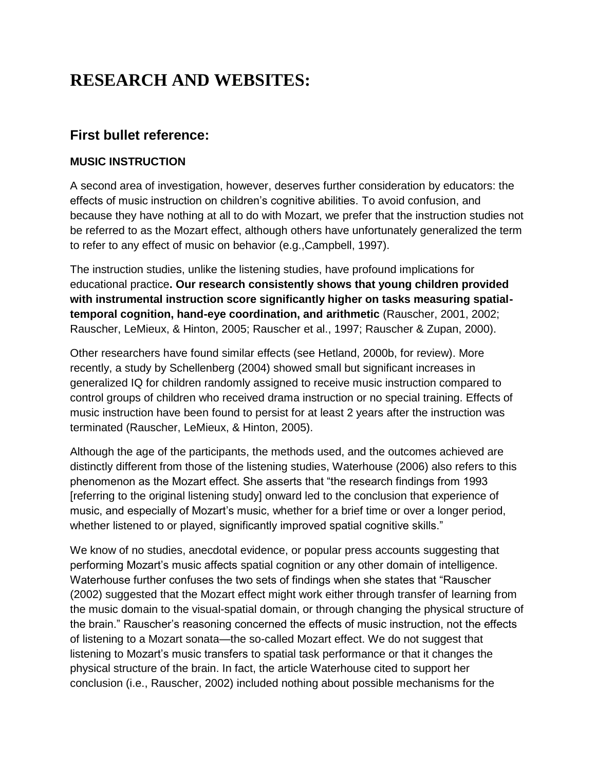## **RESEARCH AND WEBSITES:**

## **First bullet reference:**

#### **MUSIC INSTRUCTION**

A second area of investigation, however, deserves further consideration by educators: the effects of music instruction on children's cognitive abilities. To avoid confusion, and because they have nothing at all to do with Mozart, we prefer that the instruction studies not be referred to as the Mozart effect, although others have unfortunately generalized the term to refer to any effect of music on behavior (e.g.,Campbell, 1997).

The instruction studies, unlike the listening studies, have profound implications for educational practice**. Our research consistently shows that young children provided with instrumental instruction score significantly higher on tasks measuring spatialtemporal cognition, hand-eye coordination, and arithmetic** (Rauscher, 2001, 2002; Rauscher, LeMieux, & Hinton, 2005; Rauscher et al., 1997; Rauscher & Zupan, 2000).

Other researchers have found similar effects (see Hetland, 2000b, for review). More recently, a study by Schellenberg (2004) showed small but significant increases in generalized IQ for children randomly assigned to receive music instruction compared to control groups of children who received drama instruction or no special training. Effects of music instruction have been found to persist for at least 2 years after the instruction was terminated (Rauscher, LeMieux, & Hinton, 2005).

Although the age of the participants, the methods used, and the outcomes achieved are distinctly different from those of the listening studies, Waterhouse (2006) also refers to this phenomenon as the Mozart effect. She asserts that "the research findings from 1993 [referring to the original listening study] onward led to the conclusion that experience of music, and especially of Mozart's music, whether for a brief time or over a longer period, whether listened to or played, significantly improved spatial cognitive skills."

We know of no studies, anecdotal evidence, or popular press accounts suggesting that performing Mozart's music affects spatial cognition or any other domain of intelligence. Waterhouse further confuses the two sets of findings when she states that "Rauscher (2002) suggested that the Mozart effect might work either through transfer of learning from the music domain to the visual-spatial domain, or through changing the physical structure of the brain." Rauscher's reasoning concerned the effects of music instruction, not the effects of listening to a Mozart sonata—the so-called Mozart effect. We do not suggest that listening to Mozart's music transfers to spatial task performance or that it changes the physical structure of the brain. In fact, the article Waterhouse cited to support her conclusion (i.e., Rauscher, 2002) included nothing about possible mechanisms for the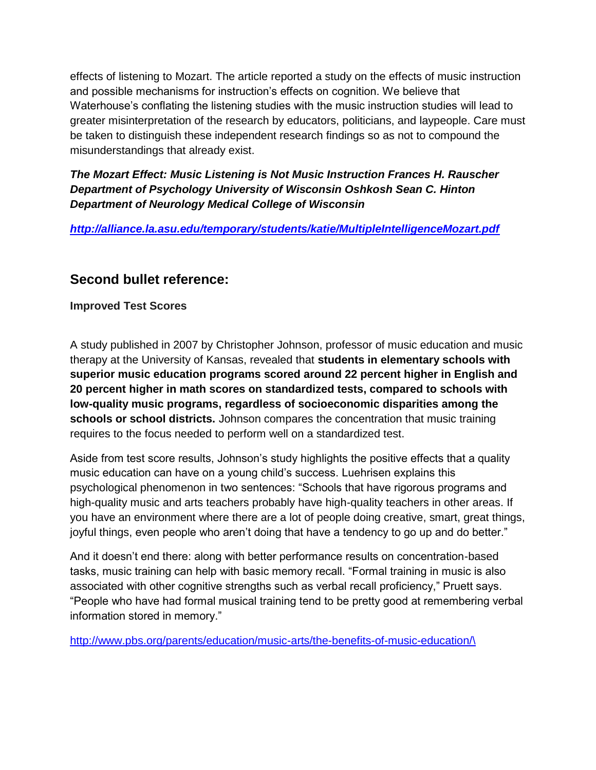effects of listening to Mozart. The article reported a study on the effects of music instruction and possible mechanisms for instruction's effects on cognition. We believe that Waterhouse's conflating the listening studies with the music instruction studies will lead to greater misinterpretation of the research by educators, politicians, and laypeople. Care must be taken to distinguish these independent research findings so as not to compound the misunderstandings that already exist.

*The Mozart Effect: Music Listening is Not Music Instruction Frances H. Rauscher Department of Psychology University of Wisconsin Oshkosh Sean C. Hinton Department of Neurology Medical College of Wisconsin*

*<http://alliance.la.asu.edu/temporary/students/katie/MultipleIntelligenceMozart.pdf>*

## **Second bullet reference:**

**Improved Test Scores**

A study published in 2007 by Christopher Johnson, professor of music education and music therapy at the University of Kansas, revealed that **students in elementary schools with superior music education programs scored around 22 percent higher in English and 20 percent higher in math scores on standardized tests, compared to schools with low-quality music programs, regardless of socioeconomic disparities among the schools or school districts.** Johnson compares the concentration that music training requires to the focus needed to perform well on a standardized test.

Aside from test score results, Johnson's study highlights the positive effects that a quality music education can have on a young child's success. Luehrisen explains this psychological phenomenon in two sentences: "Schools that have rigorous programs and high-quality music and arts teachers probably have high-quality teachers in other areas. If you have an environment where there are a lot of people doing creative, smart, great things, joyful things, even people who aren't doing that have a tendency to go up and do better."

And it doesn't end there: along with better performance results on concentration-based tasks, music training can help with basic memory recall. "Formal training in music is also associated with other cognitive strengths such as verbal recall proficiency," Pruett says. "People who have had formal musical training tend to be pretty good at remembering verbal information stored in memory."

[http://www.pbs.org/parents/education/music-arts/the-benefits-of-music-education/\](http://www.pbs.org/parents/education/music-arts/the-benefits-of-music-education/)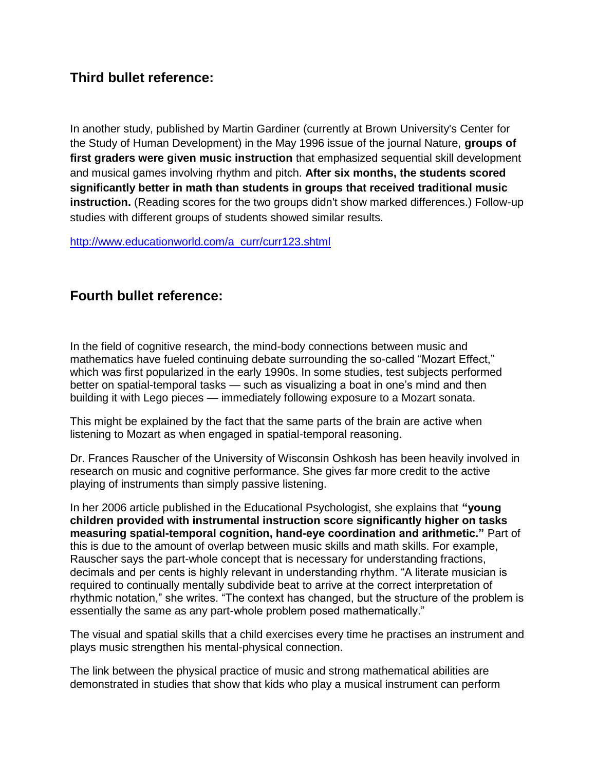### **Third bullet reference:**

In another study, published by Martin Gardiner (currently at Brown University's Center for the Study of Human Development) in the May 1996 issue of the journal Nature, **groups of first graders were given music instruction** that emphasized sequential skill development and musical games involving rhythm and pitch. **After six months, the students scored significantly better in math than students in groups that received traditional music instruction.** (Reading scores for the two groups didn't show marked differences.) Follow-up studies with different groups of students showed similar results.

[http://www.educationworld.com/a\\_curr/curr123.shtml](http://www.educationworld.com/a_curr/curr123.shtml)

### **Fourth bullet reference:**

In the field of cognitive research, the mind-body connections between music and mathematics have fueled continuing debate surrounding the so-called "Mozart Effect," which was first popularized in the early 1990s. In some studies, test subjects performed better on spatial-temporal tasks — such as visualizing a boat in one's mind and then building it with Lego pieces — immediately following exposure to a Mozart sonata.

This might be explained by the fact that the same parts of the brain are active when listening to Mozart as when engaged in spatial-temporal reasoning.

Dr. Frances Rauscher of the University of Wisconsin Oshkosh has been heavily involved in research on music and cognitive performance. She gives far more credit to the active playing of instruments than simply passive listening.

In her 2006 article published in the Educational Psychologist, she explains that **"young children provided with instrumental instruction score significantly higher on tasks measuring spatial-temporal cognition, hand-eye coordination and arithmetic."** Part of this is due to the amount of overlap between music skills and math skills. For example, Rauscher says the part-whole concept that is necessary for understanding fractions, decimals and per cents is highly relevant in understanding rhythm. "A literate musician is required to continually mentally subdivide beat to arrive at the correct interpretation of rhythmic notation," she writes. "The context has changed, but the structure of the problem is essentially the same as any part-whole problem posed mathematically."

The visual and spatial skills that a child exercises every time he practises an instrument and plays music strengthen his mental-physical connection.

The link between the physical practice of music and strong mathematical abilities are demonstrated in studies that show that kids who play a musical instrument can perform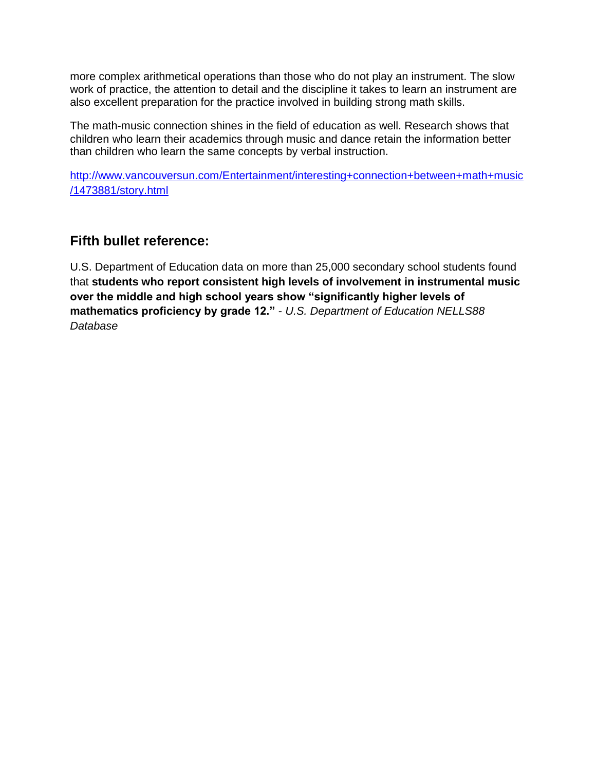more complex arithmetical operations than those who do not play an instrument. The slow work of practice, the attention to detail and the discipline it takes to learn an instrument are also excellent preparation for the practice involved in building strong math skills.

The math-music connection shines in the field of education as well. Research shows that children who learn their academics through music and dance retain the information better than children who learn the same concepts by verbal instruction.

[http://www.vancouversun.com/Entertainment/interesting+connection+between+math+music](http://www.vancouversun.com/Entertainment/interesting+connection+between+math+music/1473881/story.html) [/1473881/story.html](http://www.vancouversun.com/Entertainment/interesting+connection+between+math+music/1473881/story.html)

## **Fifth bullet reference:**

U.S. Department of Education data on more than 25,000 secondary school students found that **students who report consistent high levels of involvement in instrumental music over the middle and high school years show "significantly higher levels of mathematics proficiency by grade 12."** - *U.S. Department of Education NELLS88 Database*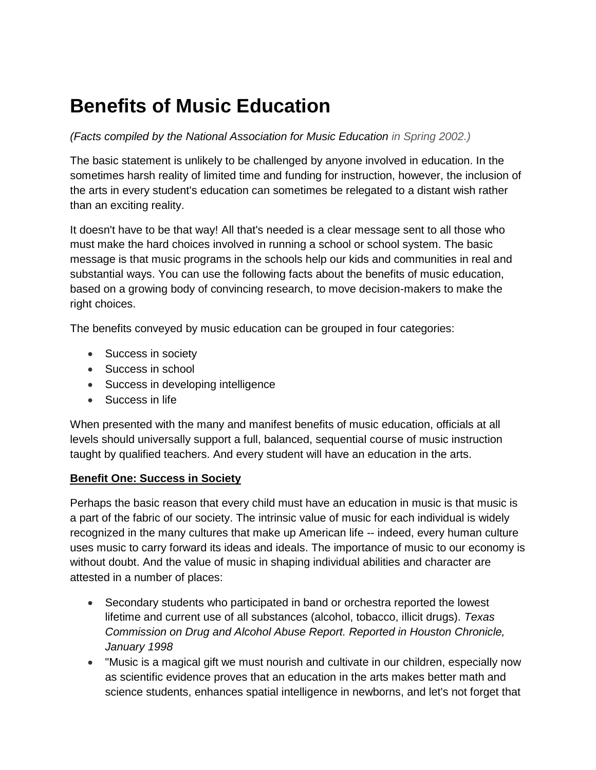## **Benefits of Music Education**

*(Facts compiled by the National Association for Music Education in Spring 2002.)*

The basic statement is unlikely to be challenged by anyone involved in education. In the sometimes harsh reality of limited time and funding for instruction, however, the inclusion of the arts in every student's education can sometimes be relegated to a distant wish rather than an exciting reality.

It doesn't have to be that way! All that's needed is a clear message sent to all those who must make the hard choices involved in running a school or school system. The basic message is that music programs in the schools help our kids and communities in real and substantial ways. You can use the following facts about the benefits of music education, based on a growing body of convincing research, to move decision-makers to make the right choices.

The benefits conveyed by music education can be grouped in four categories:

- Success in society
- Success in school
- Success in developing intelligence
- Success in life

When presented with the many and manifest benefits of music education, officials at all levels should universally support a full, balanced, sequential course of music instruction taught by qualified teachers. And every student will have an education in the arts.

#### **Benefit One: Success in Society**

Perhaps the basic reason that every child must have an education in music is that music is a part of the fabric of our society. The intrinsic value of music for each individual is widely recognized in the many cultures that make up American life -- indeed, every human culture uses music to carry forward its ideas and ideals. The importance of music to our economy is without doubt. And the value of music in shaping individual abilities and character are attested in a number of places:

- Secondary students who participated in band or orchestra reported the lowest lifetime and current use of all substances (alcohol, tobacco, illicit drugs). *Texas Commission on Drug and Alcohol Abuse Report. Reported in Houston Chronicle, January 1998*
- "Music is a magical gift we must nourish and cultivate in our children, especially now as scientific evidence proves that an education in the arts makes better math and science students, enhances spatial intelligence in newborns, and let's not forget that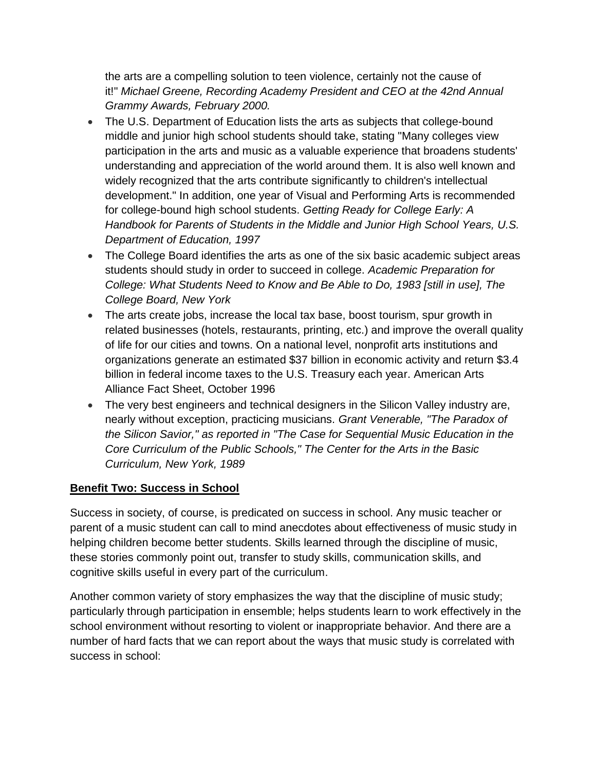the arts are a compelling solution to teen violence, certainly not the cause of it!" *Michael Greene, Recording Academy President and CEO at the 42nd Annual Grammy Awards, February 2000.*

- The U.S. Department of Education lists the arts as subjects that college-bound middle and junior high school students should take, stating "Many colleges view participation in the arts and music as a valuable experience that broadens students' understanding and appreciation of the world around them. It is also well known and widely recognized that the arts contribute significantly to children's intellectual development." In addition, one year of Visual and Performing Arts is recommended for college-bound high school students. *Getting Ready for College Early: A Handbook for Parents of Students in the Middle and Junior High School Years, U.S. Department of Education, 1997*
- The College Board identifies the arts as one of the six basic academic subject areas students should study in order to succeed in college. *Academic Preparation for College: What Students Need to Know and Be Able to Do, 1983 [still in use], The College Board, New York*
- The arts create jobs, increase the local tax base, boost tourism, spur growth in related businesses (hotels, restaurants, printing, etc.) and improve the overall quality of life for our cities and towns. On a national level, nonprofit arts institutions and organizations generate an estimated \$37 billion in economic activity and return \$3.4 billion in federal income taxes to the U.S. Treasury each year. American Arts Alliance Fact Sheet, October 1996
- The very best engineers and technical designers in the Silicon Valley industry are, nearly without exception, practicing musicians. *Grant Venerable, "The Paradox of the Silicon Savior," as reported in "The Case for Sequential Music Education in the Core Curriculum of the Public Schools," The Center for the Arts in the Basic Curriculum, New York, 1989*

#### **Benefit Two: Success in School**

Success in society, of course, is predicated on success in school. Any music teacher or parent of a music student can call to mind anecdotes about effectiveness of music study in helping children become better students. Skills learned through the discipline of music, these stories commonly point out, transfer to study skills, communication skills, and cognitive skills useful in every part of the curriculum.

Another common variety of story emphasizes the way that the discipline of music study; particularly through participation in ensemble; helps students learn to work effectively in the school environment without resorting to violent or inappropriate behavior. And there are a number of hard facts that we can report about the ways that music study is correlated with success in school: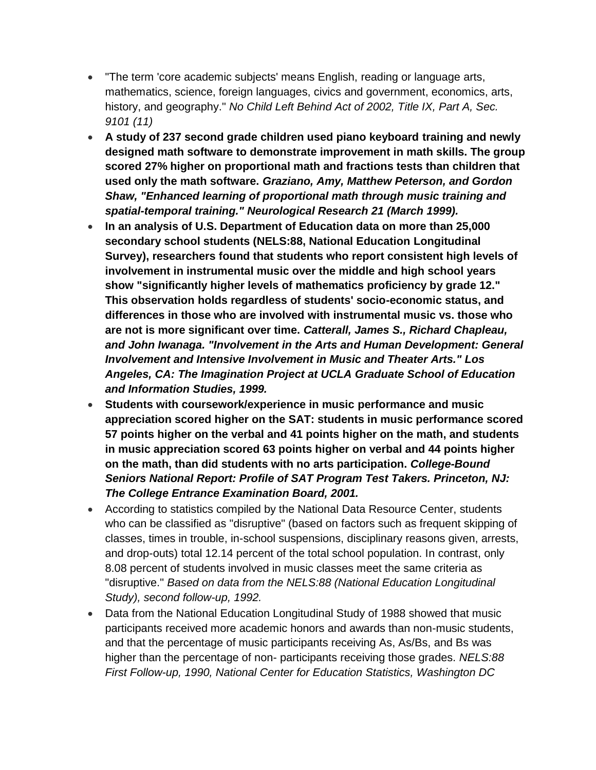- "The term 'core academic subjects' means English, reading or language arts, mathematics, science, foreign languages, civics and government, economics, arts, history, and geography." *No Child Left Behind Act of 2002, Title IX, Part A, Sec. 9101 (11)*
- **A study of 237 second grade children used piano keyboard training and newly designed math software to demonstrate improvement in math skills. The group scored 27% higher on proportional math and fractions tests than children that used only the math software.** *Graziano, Amy, Matthew Peterson, and Gordon Shaw, "Enhanced learning of proportional math through music training and spatial-temporal training." Neurological Research 21 (March 1999).*
- **In an analysis of U.S. Department of Education data on more than 25,000 secondary school students (NELS:88, National Education Longitudinal Survey), researchers found that students who report consistent high levels of involvement in instrumental music over the middle and high school years show "significantly higher levels of mathematics proficiency by grade 12." This observation holds regardless of students' socio-economic status, and differences in those who are involved with instrumental music vs. those who are not is more significant over time.** *Catterall, James S., Richard Chapleau, and John Iwanaga. "Involvement in the Arts and Human Development: General Involvement and Intensive Involvement in Music and Theater Arts." Los Angeles, CA: The Imagination Project at UCLA Graduate School of Education and Information Studies, 1999.*
- **Students with coursework/experience in music performance and music appreciation scored higher on the SAT: students in music performance scored 57 points higher on the verbal and 41 points higher on the math, and students in music appreciation scored 63 points higher on verbal and 44 points higher on the math, than did students with no arts participation.** *College-Bound Seniors National Report: Profile of SAT Program Test Takers. Princeton, NJ: The College Entrance Examination Board, 2001.*
- According to statistics compiled by the National Data Resource Center, students who can be classified as "disruptive" (based on factors such as frequent skipping of classes, times in trouble, in-school suspensions, disciplinary reasons given, arrests, and drop-outs) total 12.14 percent of the total school population. In contrast, only 8.08 percent of students involved in music classes meet the same criteria as "disruptive." *Based on data from the NELS:88 (National Education Longitudinal Study), second follow-up, 1992.*
- Data from the National Education Longitudinal Study of 1988 showed that music participants received more academic honors and awards than non-music students, and that the percentage of music participants receiving As, As/Bs, and Bs was higher than the percentage of non- participants receiving those grades. *NELS:88 First Follow-up, 1990, National Center for Education Statistics, Washington DC*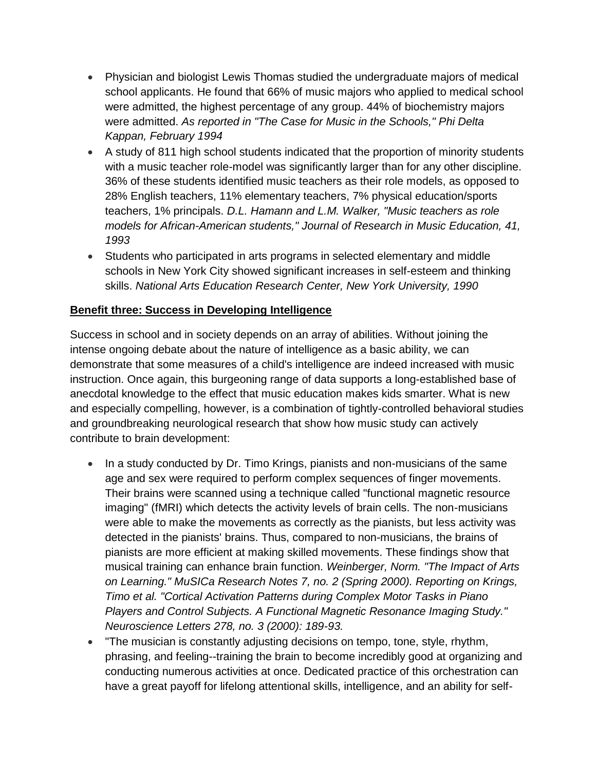- Physician and biologist Lewis Thomas studied the undergraduate majors of medical school applicants. He found that 66% of music majors who applied to medical school were admitted, the highest percentage of any group. 44% of biochemistry majors were admitted. *As reported in "The Case for Music in the Schools," Phi Delta Kappan, February 1994*
- A study of 811 high school students indicated that the proportion of minority students with a music teacher role-model was significantly larger than for any other discipline. 36% of these students identified music teachers as their role models, as opposed to 28% English teachers, 11% elementary teachers, 7% physical education/sports teachers, 1% principals. *D.L. Hamann and L.M. Walker, "Music teachers as role models for African-American students," Journal of Research in Music Education, 41, 1993*
- Students who participated in arts programs in selected elementary and middle schools in New York City showed significant increases in self-esteem and thinking skills. *National Arts Education Research Center, New York University, 1990*

#### **Benefit three: Success in Developing Intelligence**

Success in school and in society depends on an array of abilities. Without joining the intense ongoing debate about the nature of intelligence as a basic ability, we can demonstrate that some measures of a child's intelligence are indeed increased with music instruction. Once again, this burgeoning range of data supports a long-established base of anecdotal knowledge to the effect that music education makes kids smarter. What is new and especially compelling, however, is a combination of tightly-controlled behavioral studies and groundbreaking neurological research that show how music study can actively contribute to brain development:

- In a study conducted by Dr. Timo Krings, pianists and non-musicians of the same age and sex were required to perform complex sequences of finger movements. Their brains were scanned using a technique called "functional magnetic resource imaging" (fMRI) which detects the activity levels of brain cells. The non-musicians were able to make the movements as correctly as the pianists, but less activity was detected in the pianists' brains. Thus, compared to non-musicians, the brains of pianists are more efficient at making skilled movements. These findings show that musical training can enhance brain function. *Weinberger, Norm. "The Impact of Arts on Learning." MuSICa Research Notes 7, no. 2 (Spring 2000). Reporting on Krings, Timo et al. "Cortical Activation Patterns during Complex Motor Tasks in Piano Players and Control Subjects. A Functional Magnetic Resonance Imaging Study." Neuroscience Letters 278, no. 3 (2000): 189-93.*
- "The musician is constantly adjusting decisions on tempo, tone, style, rhythm, phrasing, and feeling--training the brain to become incredibly good at organizing and conducting numerous activities at once. Dedicated practice of this orchestration can have a great payoff for lifelong attentional skills, intelligence, and an ability for self-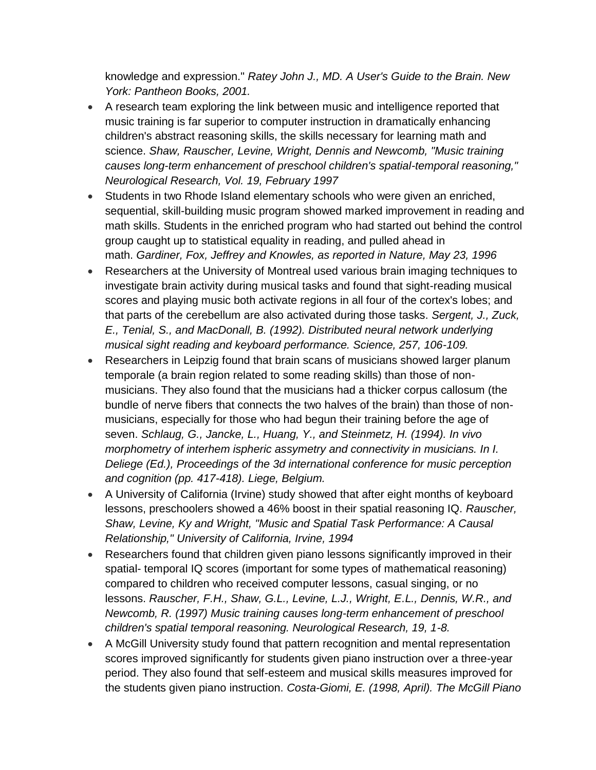knowledge and expression." *Ratey John J., MD. A User's Guide to the Brain. New York: Pantheon Books, 2001.*

- A research team exploring the link between music and intelligence reported that music training is far superior to computer instruction in dramatically enhancing children's abstract reasoning skills, the skills necessary for learning math and science. *Shaw, Rauscher, Levine, Wright, Dennis and Newcomb, "Music training causes long-term enhancement of preschool children's spatial-temporal reasoning," Neurological Research, Vol. 19, February 1997*
- Students in two Rhode Island elementary schools who were given an enriched, sequential, skill-building music program showed marked improvement in reading and math skills. Students in the enriched program who had started out behind the control group caught up to statistical equality in reading, and pulled ahead in math. *Gardiner, Fox, Jeffrey and Knowles, as reported in Nature, May 23, 1996*
- Researchers at the University of Montreal used various brain imaging techniques to investigate brain activity during musical tasks and found that sight-reading musical scores and playing music both activate regions in all four of the cortex's lobes; and that parts of the cerebellum are also activated during those tasks. *Sergent, J., Zuck, E., Tenial, S., and MacDonall, B. (1992). Distributed neural network underlying musical sight reading and keyboard performance. Science, 257, 106-109.*
- Researchers in Leipzig found that brain scans of musicians showed larger planum temporale (a brain region related to some reading skills) than those of nonmusicians. They also found that the musicians had a thicker corpus callosum (the bundle of nerve fibers that connects the two halves of the brain) than those of nonmusicians, especially for those who had begun their training before the age of seven. *Schlaug, G., Jancke, L., Huang, Y., and Steinmetz, H. (1994). In vivo morphometry of interhem ispheric assymetry and connectivity in musicians. In I. Deliege (Ed.), Proceedings of the 3d international conference for music perception and cognition (pp. 417-418). Liege, Belgium.*
- A University of California (Irvine) study showed that after eight months of keyboard lessons, preschoolers showed a 46% boost in their spatial reasoning IQ. *Rauscher, Shaw, Levine, Ky and Wright, "Music and Spatial Task Performance: A Causal Relationship," University of California, Irvine, 1994*
- Researchers found that children given piano lessons significantly improved in their spatial- temporal IQ scores (important for some types of mathematical reasoning) compared to children who received computer lessons, casual singing, or no lessons. *Rauscher, F.H., Shaw, G.L., Levine, L.J., Wright, E.L., Dennis, W.R., and Newcomb, R. (1997) Music training causes long-term enhancement of preschool children's spatial temporal reasoning. Neurological Research, 19, 1-8.*
- A McGill University study found that pattern recognition and mental representation scores improved significantly for students given piano instruction over a three-year period. They also found that self-esteem and musical skills measures improved for the students given piano instruction. *Costa-Giomi, E. (1998, April). The McGill Piano*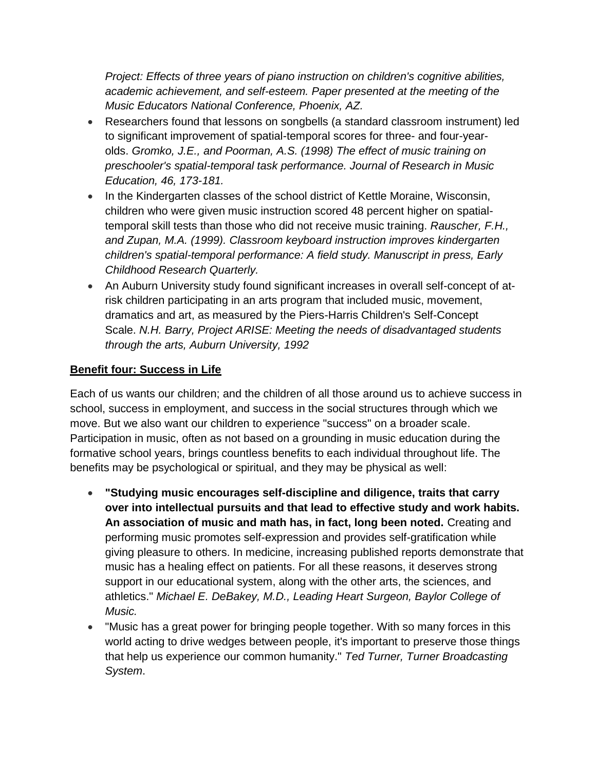*Project: Effects of three years of piano instruction on children's cognitive abilities, academic achievement, and self-esteem. Paper presented at the meeting of the Music Educators National Conference, Phoenix, AZ.*

- Researchers found that lessons on songbells (a standard classroom instrument) led to significant improvement of spatial-temporal scores for three- and four-yearolds. *Gromko, J.E., and Poorman, A.S. (1998) The effect of music training on preschooler's spatial-temporal task performance. Journal of Research in Music Education, 46, 173-181.*
- In the Kindergarten classes of the school district of Kettle Moraine, Wisconsin, children who were given music instruction scored 48 percent higher on spatialtemporal skill tests than those who did not receive music training. *Rauscher, F.H., and Zupan, M.A. (1999). Classroom keyboard instruction improves kindergarten children's spatial-temporal performance: A field study. Manuscript in press, Early Childhood Research Quarterly.*
- An Auburn University study found significant increases in overall self-concept of atrisk children participating in an arts program that included music, movement, dramatics and art, as measured by the Piers-Harris Children's Self-Concept Scale. *N.H. Barry, Project ARISE: Meeting the needs of disadvantaged students through the arts, Auburn University, 1992*

#### **Benefit four: Success in Life**

Each of us wants our children; and the children of all those around us to achieve success in school, success in employment, and success in the social structures through which we move. But we also want our children to experience "success" on a broader scale. Participation in music, often as not based on a grounding in music education during the formative school years, brings countless benefits to each individual throughout life. The benefits may be psychological or spiritual, and they may be physical as well:

- **"Studying music encourages self-discipline and diligence, traits that carry over into intellectual pursuits and that lead to effective study and work habits. An association of music and math has, in fact, long been noted.** Creating and performing music promotes self-expression and provides self-gratification while giving pleasure to others. In medicine, increasing published reports demonstrate that music has a healing effect on patients. For all these reasons, it deserves strong support in our educational system, along with the other arts, the sciences, and athletics." *Michael E. DeBakey, M.D., Leading Heart Surgeon, Baylor College of Music.*
- "Music has a great power for bringing people together. With so many forces in this world acting to drive wedges between people, it's important to preserve those things that help us experience our common humanity." *Ted Turner, Turner Broadcasting System*.